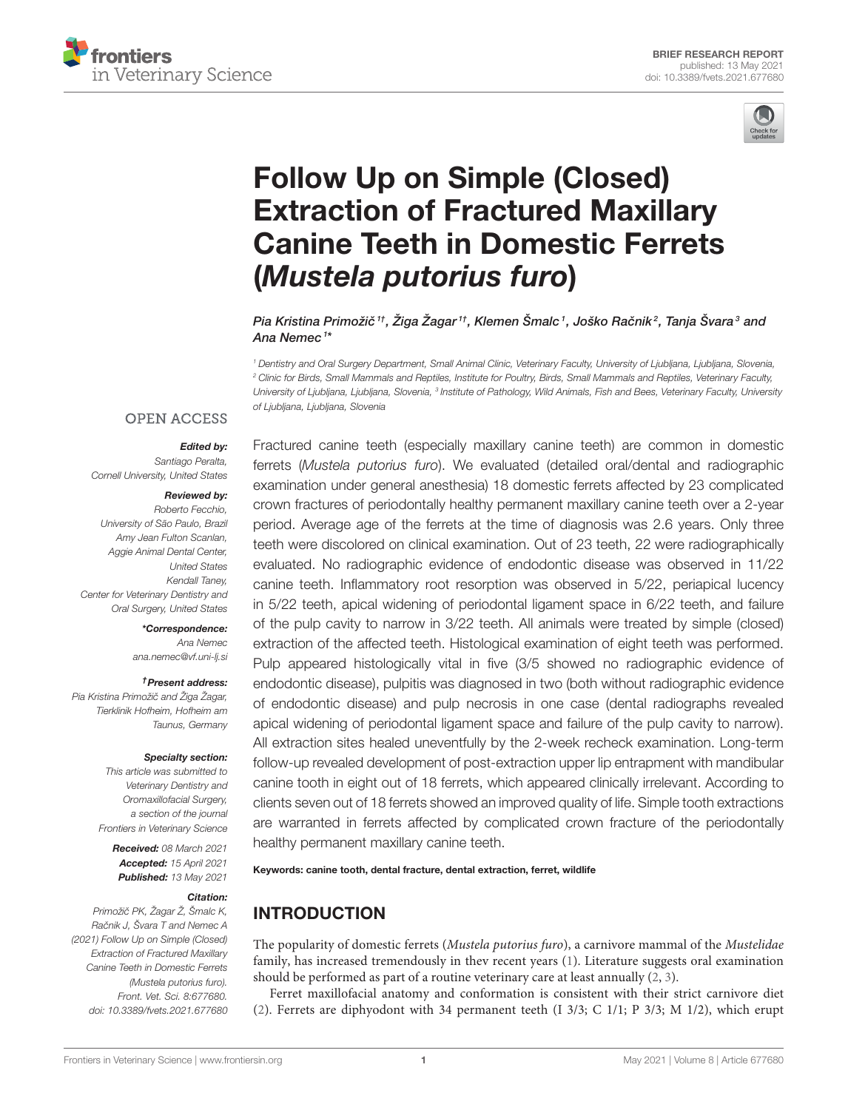



# Follow Up on Simple (Closed) Extraction of Fractured Maxillary [Canine Teeth in Domestic Ferrets](https://www.frontiersin.org/articles/10.3389/fvets.2021.677680/full) (Mustela putorius furo)

Pia Kristina Primožič ††, Žiga Žagar ††, Klemen Šmalc <sup>1</sup>, Joško Račnik<sup>2</sup>, Tanja Švara $^3$  and Ana Nemec <sup>1</sup>\*

<sup>1</sup> Dentistry and Oral Surgery Department, Small Animal Clinic, Veterinary Faculty, University of Ljubljana, Ljubljana, Slovenia, <sup>2</sup> Clinic for Birds, Small Mammals and Reptiles, Institute for Poultry, Birds, Small Mammals and Reptiles, Veterinary Faculty, University of Ljubljana, Ljubljana, Slovenia, <sup>3</sup> Institute of Pathology, Wild Animals, Fish and Bees, Veterinary Faculty, University of Ljubljana, Ljubljana, Slovenia

### **OPEN ACCESS**

### Edited by:

Santiago Peralta, Cornell University, United States

### Reviewed by:

Roberto Fecchio, University of São Paulo, Brazil Amy Jean Fulton Scanlan, Aggie Animal Dental Center, United States Kendall Taney, Center for Veterinary Dentistry and Oral Surgery, United States

### \*Correspondence:

Ana Nemec [ana.nemec@vf.uni-lj.si](mailto:ana.nemec@vf.uni-lj.si)

#### †Present address:

Pia Kristina Primožič and Žiga Žagar, Tierklinik Hofheim, Hofheim am Taunus, Germany

#### Specialty section:

This article was submitted to Veterinary Dentistry and Oromaxillofacial Surgery, a section of the journal Frontiers in Veterinary Science

Received: 08 March 2021 Accepted: 15 April 2021 Published: 13 May 2021

#### Citation:

Primožič PK, Žagar Ž, Šmalc K, Račnik J, Švara T and Nemec A (2021) Follow Up on Simple (Closed) Extraction of Fractured Maxillary Canine Teeth in Domestic Ferrets (Mustela putorius furo). Front. Vet. Sci. 8:677680. doi: [10.3389/fvets.2021.677680](https://doi.org/10.3389/fvets.2021.677680)

Fractured canine teeth (especially maxillary canine teeth) are common in domestic ferrets (Mustela putorius furo). We evaluated (detailed oral/dental and radiographic examination under general anesthesia) 18 domestic ferrets affected by 23 complicated crown fractures of periodontally healthy permanent maxillary canine teeth over a 2-year period. Average age of the ferrets at the time of diagnosis was 2.6 years. Only three teeth were discolored on clinical examination. Out of 23 teeth, 22 were radiographically evaluated. No radiographic evidence of endodontic disease was observed in 11/22 canine teeth. Inflammatory root resorption was observed in 5/22, periapical lucency in 5/22 teeth, apical widening of periodontal ligament space in 6/22 teeth, and failure of the pulp cavity to narrow in 3/22 teeth. All animals were treated by simple (closed) extraction of the affected teeth. Histological examination of eight teeth was performed. Pulp appeared histologically vital in five (3/5 showed no radiographic evidence of endodontic disease), pulpitis was diagnosed in two (both without radiographic evidence of endodontic disease) and pulp necrosis in one case (dental radiographs revealed apical widening of periodontal ligament space and failure of the pulp cavity to narrow). All extraction sites healed uneventfully by the 2-week recheck examination. Long-term follow-up revealed development of post-extraction upper lip entrapment with mandibular canine tooth in eight out of 18 ferrets, which appeared clinically irrelevant. According to clients seven out of 18 ferrets showed an improved quality of life. Simple tooth extractions are warranted in ferrets affected by complicated crown fracture of the periodontally healthy permanent maxillary canine teeth.

Keywords: canine tooth, dental fracture, dental extraction, ferret, wildlife

# INTRODUCTION

The popularity of domestic ferrets (Mustela putorius furo), a carnivore mammal of the Mustelidae family, has increased tremendously in thev recent years [\(1\)](#page-5-0). Literature suggests oral examination should be performed as part of a routine veterinary care at least annually [\(2,](#page-5-1) [3\)](#page-5-2).

Ferret maxillofacial anatomy and conformation is consistent with their strict carnivore diet [\(2\)](#page-5-1). Ferrets are diphyodont with 34 permanent teeth (I 3/3; C 1/1; P 3/3; M 1/2), which erupt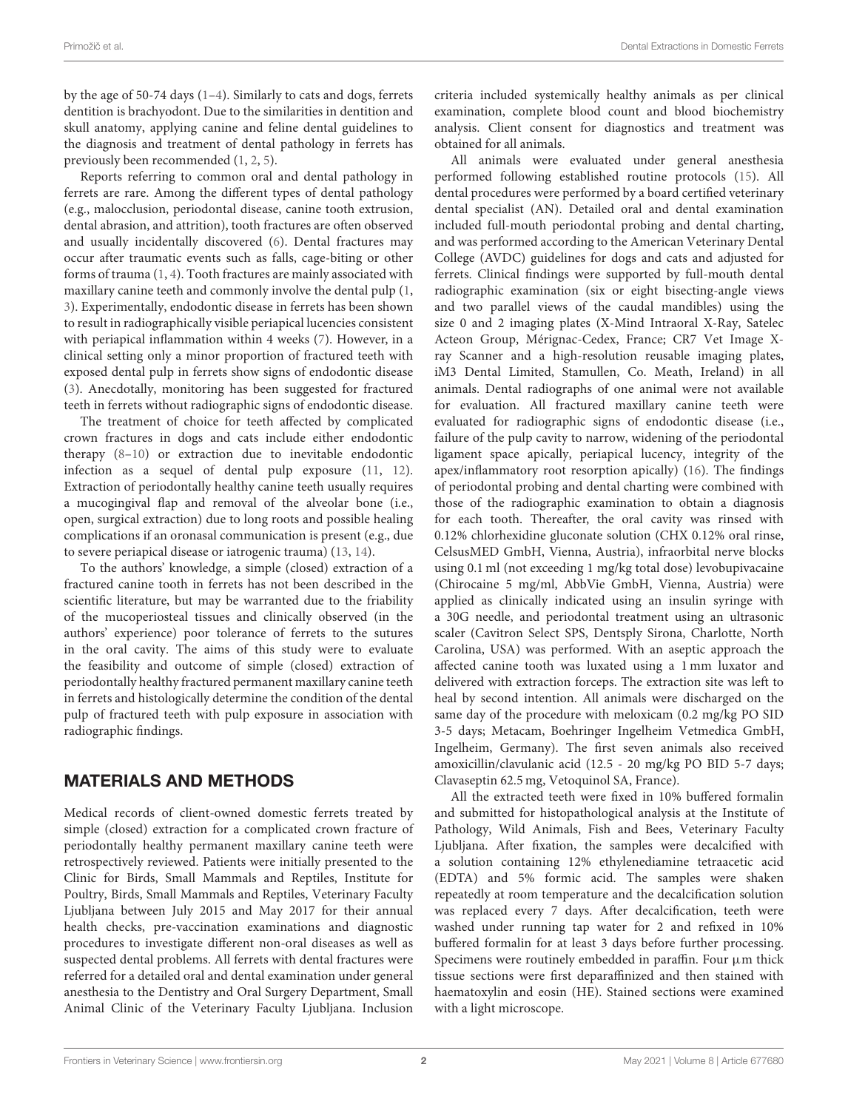by the age of 50-74 days [\(1](#page-5-0)[–4\)](#page-5-3). Similarly to cats and dogs, ferrets dentition is brachyodont. Due to the similarities in dentition and skull anatomy, applying canine and feline dental guidelines to the diagnosis and treatment of dental pathology in ferrets has previously been recommended [\(1,](#page-5-0) [2,](#page-5-1) [5\)](#page-5-4).

Reports referring to common oral and dental pathology in ferrets are rare. Among the different types of dental pathology (e.g., malocclusion, periodontal disease, canine tooth extrusion, dental abrasion, and attrition), tooth fractures are often observed and usually incidentally discovered [\(6\)](#page-5-5). Dental fractures may occur after traumatic events such as falls, cage-biting or other forms of trauma [\(1,](#page-5-0) [4\)](#page-5-3). Tooth fractures are mainly associated with maxillary canine teeth and commonly involve the dental pulp [\(1,](#page-5-0) [3\)](#page-5-2). Experimentally, endodontic disease in ferrets has been shown to result in radiographically visible periapical lucencies consistent with periapical inflammation within 4 weeks [\(7\)](#page-5-6). However, in a clinical setting only a minor proportion of fractured teeth with exposed dental pulp in ferrets show signs of endodontic disease [\(3\)](#page-5-2). Anecdotally, monitoring has been suggested for fractured teeth in ferrets without radiographic signs of endodontic disease.

The treatment of choice for teeth affected by complicated crown fractures in dogs and cats include either endodontic therapy [\(8–](#page-5-7)[10\)](#page-5-8) or extraction due to inevitable endodontic infection as a sequel of dental pulp exposure [\(11,](#page-5-9) [12\)](#page-5-10). Extraction of periodontally healthy canine teeth usually requires a mucogingival flap and removal of the alveolar bone (i.e., open, surgical extraction) due to long roots and possible healing complications if an oronasal communication is present (e.g., due to severe periapical disease or iatrogenic trauma) [\(13,](#page-5-11) [14\)](#page-5-12).

To the authors' knowledge, a simple (closed) extraction of a fractured canine tooth in ferrets has not been described in the scientific literature, but may be warranted due to the friability of the mucoperiosteal tissues and clinically observed (in the authors' experience) poor tolerance of ferrets to the sutures in the oral cavity. The aims of this study were to evaluate the feasibility and outcome of simple (closed) extraction of periodontally healthy fractured permanent maxillary canine teeth in ferrets and histologically determine the condition of the dental pulp of fractured teeth with pulp exposure in association with radiographic findings.

# MATERIALS AND METHODS

Medical records of client-owned domestic ferrets treated by simple (closed) extraction for a complicated crown fracture of periodontally healthy permanent maxillary canine teeth were retrospectively reviewed. Patients were initially presented to the Clinic for Birds, Small Mammals and Reptiles, Institute for Poultry, Birds, Small Mammals and Reptiles, Veterinary Faculty Ljubljana between July 2015 and May 2017 for their annual health checks, pre-vaccination examinations and diagnostic procedures to investigate different non-oral diseases as well as suspected dental problems. All ferrets with dental fractures were referred for a detailed oral and dental examination under general anesthesia to the Dentistry and Oral Surgery Department, Small Animal Clinic of the Veterinary Faculty Ljubljana. Inclusion criteria included systemically healthy animals as per clinical examination, complete blood count and blood biochemistry analysis. Client consent for diagnostics and treatment was obtained for all animals.

All animals were evaluated under general anesthesia performed following established routine protocols [\(15\)](#page-5-13). All dental procedures were performed by a board certified veterinary dental specialist (AN). Detailed oral and dental examination included full-mouth periodontal probing and dental charting, and was performed according to the American Veterinary Dental College (AVDC) guidelines for dogs and cats and adjusted for ferrets. Clinical findings were supported by full-mouth dental radiographic examination (six or eight bisecting-angle views and two parallel views of the caudal mandibles) using the size 0 and 2 imaging plates (X-Mind Intraoral X-Ray, Satelec Acteon Group, Mérignac-Cedex, France; CR7 Vet Image Xray Scanner and a high-resolution reusable imaging plates, iM3 Dental Limited, Stamullen, Co. Meath, Ireland) in all animals. Dental radiographs of one animal were not available for evaluation. All fractured maxillary canine teeth were evaluated for radiographic signs of endodontic disease (i.e., failure of the pulp cavity to narrow, widening of the periodontal ligament space apically, periapical lucency, integrity of the apex/inflammatory root resorption apically) [\(16\)](#page-5-14). The findings of periodontal probing and dental charting were combined with those of the radiographic examination to obtain a diagnosis for each tooth. Thereafter, the oral cavity was rinsed with 0.12% chlorhexidine gluconate solution (CHX 0.12% oral rinse, CelsusMED GmbH, Vienna, Austria), infraorbital nerve blocks using 0.1 ml (not exceeding 1 mg/kg total dose) levobupivacaine (Chirocaine 5 mg/ml, AbbVie GmbH, Vienna, Austria) were applied as clinically indicated using an insulin syringe with a 30G needle, and periodontal treatment using an ultrasonic scaler (Cavitron Select SPS, Dentsply Sirona, Charlotte, North Carolina, USA) was performed. With an aseptic approach the affected canine tooth was luxated using a 1 mm luxator and delivered with extraction forceps. The extraction site was left to heal by second intention. All animals were discharged on the same day of the procedure with meloxicam (0.2 mg/kg PO SID 3-5 days; Metacam, Boehringer Ingelheim Vetmedica GmbH, Ingelheim, Germany). The first seven animals also received amoxicillin/clavulanic acid (12.5 - 20 mg/kg PO BID 5-7 days; Clavaseptin 62.5 mg, Vetoquinol SA, France).

All the extracted teeth were fixed in 10% buffered formalin and submitted for histopathological analysis at the Institute of Pathology, Wild Animals, Fish and Bees, Veterinary Faculty Ljubljana. After fixation, the samples were decalcified with a solution containing 12% ethylenediamine tetraacetic acid (EDTA) and 5% formic acid. The samples were shaken repeatedly at room temperature and the decalcification solution was replaced every 7 days. After decalcification, teeth were washed under running tap water for 2 and refixed in 10% buffered formalin for at least 3 days before further processing. Specimens were routinely embedded in paraffin. Four  $\mu$ m thick tissue sections were first deparaffinized and then stained with haematoxylin and eosin (HE). Stained sections were examined with a light microscope.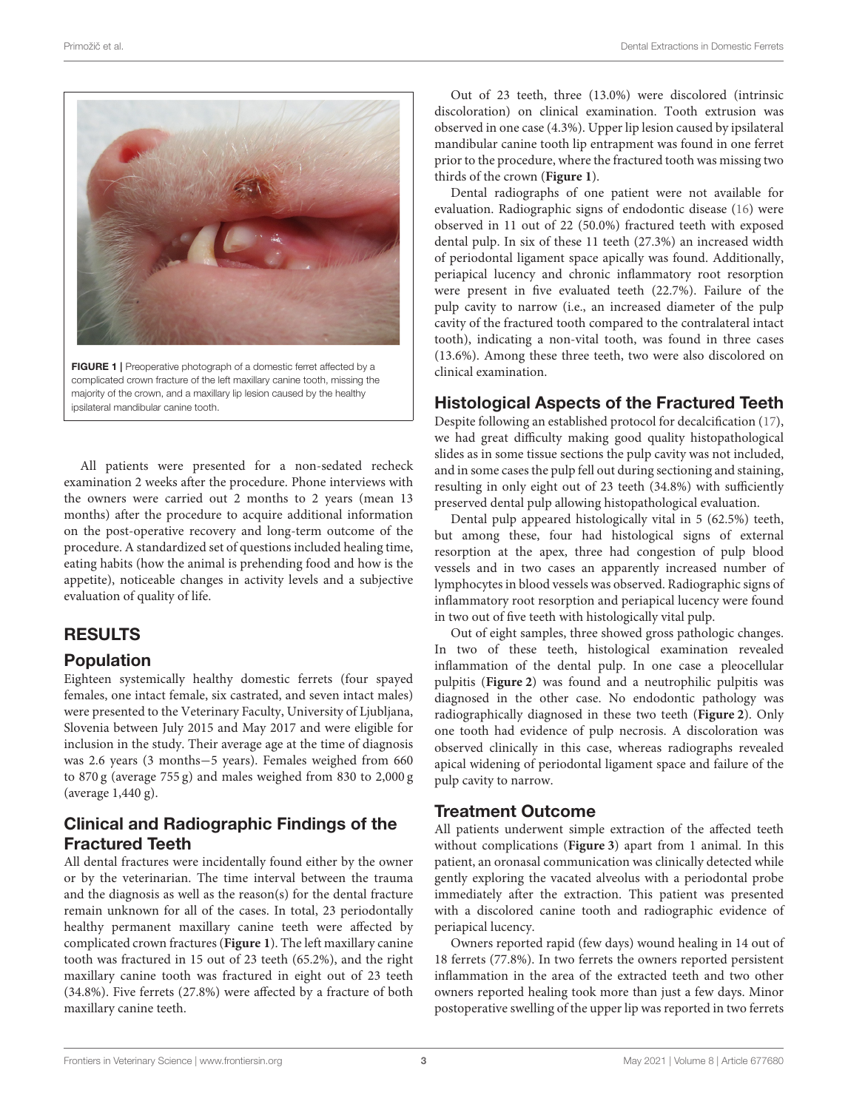

FIGURE 1 | Preoperative photograph of a domestic ferret affected by a complicated crown fracture of the left maxillary canine tooth, missing the majority of the crown, and a maxillary lip lesion caused by the healthy ipsilateral mandibular canine tooth.

<span id="page-2-0"></span>All patients were presented for a non-sedated recheck examination 2 weeks after the procedure. Phone interviews with the owners were carried out 2 months to 2 years (mean 13 months) after the procedure to acquire additional information on the post-operative recovery and long-term outcome of the procedure. A standardized set of questions included healing time, eating habits (how the animal is prehending food and how is the appetite), noticeable changes in activity levels and a subjective evaluation of quality of life.

# RESULTS

### Population

Eighteen systemically healthy domestic ferrets (four spayed females, one intact female, six castrated, and seven intact males) were presented to the Veterinary Faculty, University of Ljubljana, Slovenia between July 2015 and May 2017 and were eligible for inclusion in the study. Their average age at the time of diagnosis was 2.6 years (3 months−5 years). Females weighed from 660 to 870 g (average 755 g) and males weighed from 830 to 2,000 g (average 1,440 g).

### Clinical and Radiographic Findings of the Fractured Teeth

All dental fractures were incidentally found either by the owner or by the veterinarian. The time interval between the trauma and the diagnosis as well as the reason(s) for the dental fracture remain unknown for all of the cases. In total, 23 periodontally healthy permanent maxillary canine teeth were affected by complicated crown fractures (**[Figure 1](#page-2-0)**). The left maxillary canine tooth was fractured in 15 out of 23 teeth (65.2%), and the right maxillary canine tooth was fractured in eight out of 23 teeth (34.8%). Five ferrets (27.8%) were affected by a fracture of both maxillary canine teeth.

Out of 23 teeth, three (13.0%) were discolored (intrinsic discoloration) on clinical examination. Tooth extrusion was observed in one case (4.3%). Upper lip lesion caused by ipsilateral mandibular canine tooth lip entrapment was found in one ferret prior to the procedure, where the fractured tooth was missing two thirds of the crown (**[Figure 1](#page-2-0)**).

Dental radiographs of one patient were not available for evaluation. Radiographic signs of endodontic disease [\(16\)](#page-5-14) were observed in 11 out of 22 (50.0%) fractured teeth with exposed dental pulp. In six of these 11 teeth (27.3%) an increased width of periodontal ligament space apically was found. Additionally, periapical lucency and chronic inflammatory root resorption were present in five evaluated teeth (22.7%). Failure of the pulp cavity to narrow (i.e., an increased diameter of the pulp cavity of the fractured tooth compared to the contralateral intact tooth), indicating a non-vital tooth, was found in three cases (13.6%). Among these three teeth, two were also discolored on clinical examination.

# Histological Aspects of the Fractured Teeth

Despite following an established protocol for decalcification [\(17\)](#page-5-15), we had great difficulty making good quality histopathological slides as in some tissue sections the pulp cavity was not included, and in some cases the pulp fell out during sectioning and staining, resulting in only eight out of 23 teeth (34.8%) with sufficiently preserved dental pulp allowing histopathological evaluation.

Dental pulp appeared histologically vital in 5 (62.5%) teeth, but among these, four had histological signs of external resorption at the apex, three had congestion of pulp blood vessels and in two cases an apparently increased number of lymphocytes in blood vessels was observed. Radiographic signs of inflammatory root resorption and periapical lucency were found in two out of five teeth with histologically vital pulp.

Out of eight samples, three showed gross pathologic changes. In two of these teeth, histological examination revealed inflammation of the dental pulp. In one case a pleocellular pulpitis (**[Figure 2](#page-3-0)**) was found and a neutrophilic pulpitis was diagnosed in the other case. No endodontic pathology was radiographically diagnosed in these two teeth (**[Figure 2](#page-3-0)**). Only one tooth had evidence of pulp necrosis. A discoloration was observed clinically in this case, whereas radiographs revealed apical widening of periodontal ligament space and failure of the pulp cavity to narrow.

### Treatment Outcome

All patients underwent simple extraction of the affected teeth without complications (**[Figure 3](#page-3-1)**) apart from 1 animal. In this patient, an oronasal communication was clinically detected while gently exploring the vacated alveolus with a periodontal probe immediately after the extraction. This patient was presented with a discolored canine tooth and radiographic evidence of periapical lucency.

Owners reported rapid (few days) wound healing in 14 out of 18 ferrets (77.8%). In two ferrets the owners reported persistent inflammation in the area of the extracted teeth and two other owners reported healing took more than just a few days. Minor postoperative swelling of the upper lip was reported in two ferrets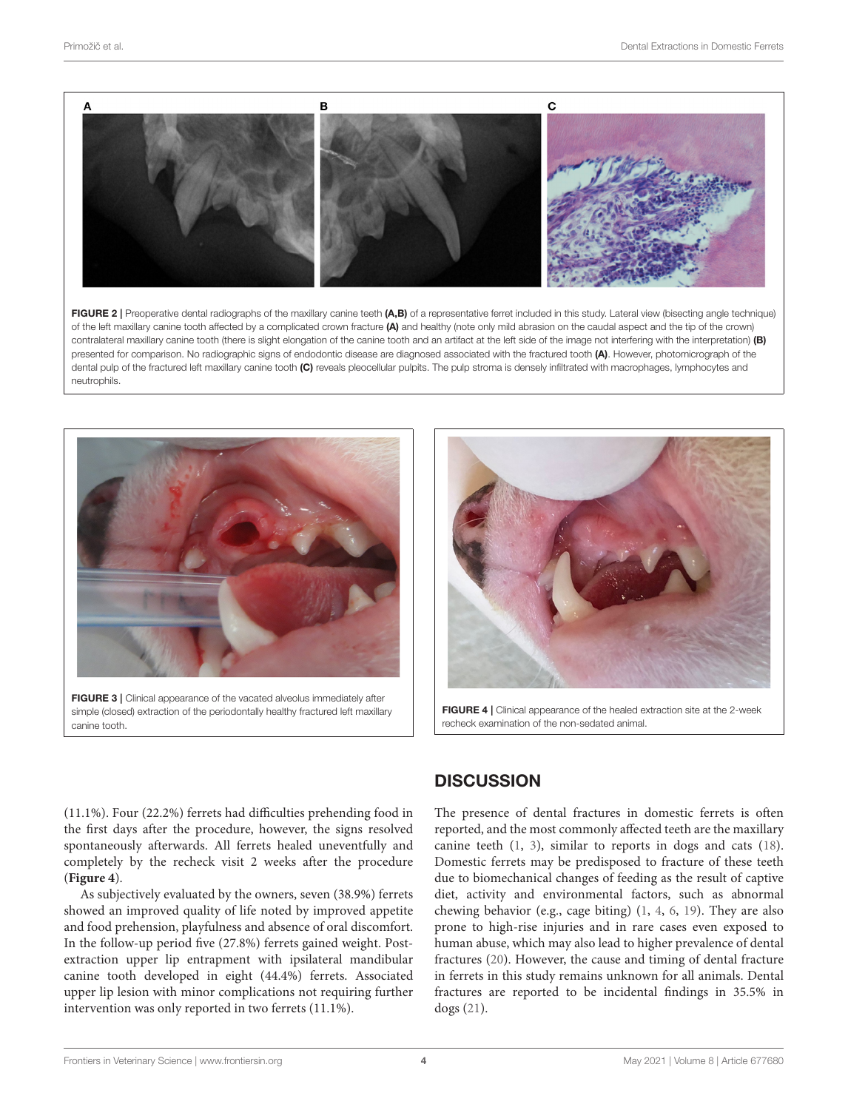

<span id="page-3-0"></span>FIGURE 2 | Preoperative dental radiographs of the maxillary canine teeth (A,B) of a representative ferret included in this study. Lateral view (bisecting angle technique) of the left maxillary canine tooth affected by a complicated crown fracture (A) and healthy (note only mild abrasion on the caudal aspect and the tip of the crown) contralateral maxillary canine tooth (there is slight elongation of the canine tooth and an artifact at the left side of the image not interfering with the interpretation) (B) presented for comparison. No radiographic signs of endodontic disease are diagnosed associated with the fractured tooth (A). However, photomicrograph of the dental pulp of the fractured left maxillary canine tooth (C) reveals pleocellular pulpits. The pulp stroma is densely infiltrated with macrophages, lymphocytes and neutrophils.



<span id="page-3-1"></span>FIGURE 3 | Clinical appearance of the vacated alveolus immediately after simple (closed) extraction of the periodontally healthy fractured left maxillary canine tooth.



FIGURE 4 | Clinical appearance of the healed extraction site at the 2-week recheck examination of the non-sedated animal.

(11.1%). Four (22.2%) ferrets had difficulties prehending food in the first days after the procedure, however, the signs resolved spontaneously afterwards. All ferrets healed uneventfully and completely by the recheck visit 2 weeks after the procedure (**[Figure 4](#page-3-2)**).

As subjectively evaluated by the owners, seven (38.9%) ferrets showed an improved quality of life noted by improved appetite and food prehension, playfulness and absence of oral discomfort. In the follow-up period five (27.8%) ferrets gained weight. Postextraction upper lip entrapment with ipsilateral mandibular canine tooth developed in eight (44.4%) ferrets. Associated upper lip lesion with minor complications not requiring further intervention was only reported in two ferrets (11.1%).

# <span id="page-3-2"></span>**DISCUSSION**

The presence of dental fractures in domestic ferrets is often reported, and the most commonly affected teeth are the maxillary canine teeth [\(1,](#page-5-0) [3\)](#page-5-2), similar to reports in dogs and cats [\(18\)](#page-5-16). Domestic ferrets may be predisposed to fracture of these teeth due to biomechanical changes of feeding as the result of captive diet, activity and environmental factors, such as abnormal chewing behavior (e.g., cage biting) [\(1,](#page-5-0) [4,](#page-5-3) [6,](#page-5-5) [19\)](#page-5-17). They are also prone to high-rise injuries and in rare cases even exposed to human abuse, which may also lead to higher prevalence of dental fractures [\(20\)](#page-5-18). However, the cause and timing of dental fracture in ferrets in this study remains unknown for all animals. Dental fractures are reported to be incidental findings in 35.5% in dogs [\(21\)](#page-5-19).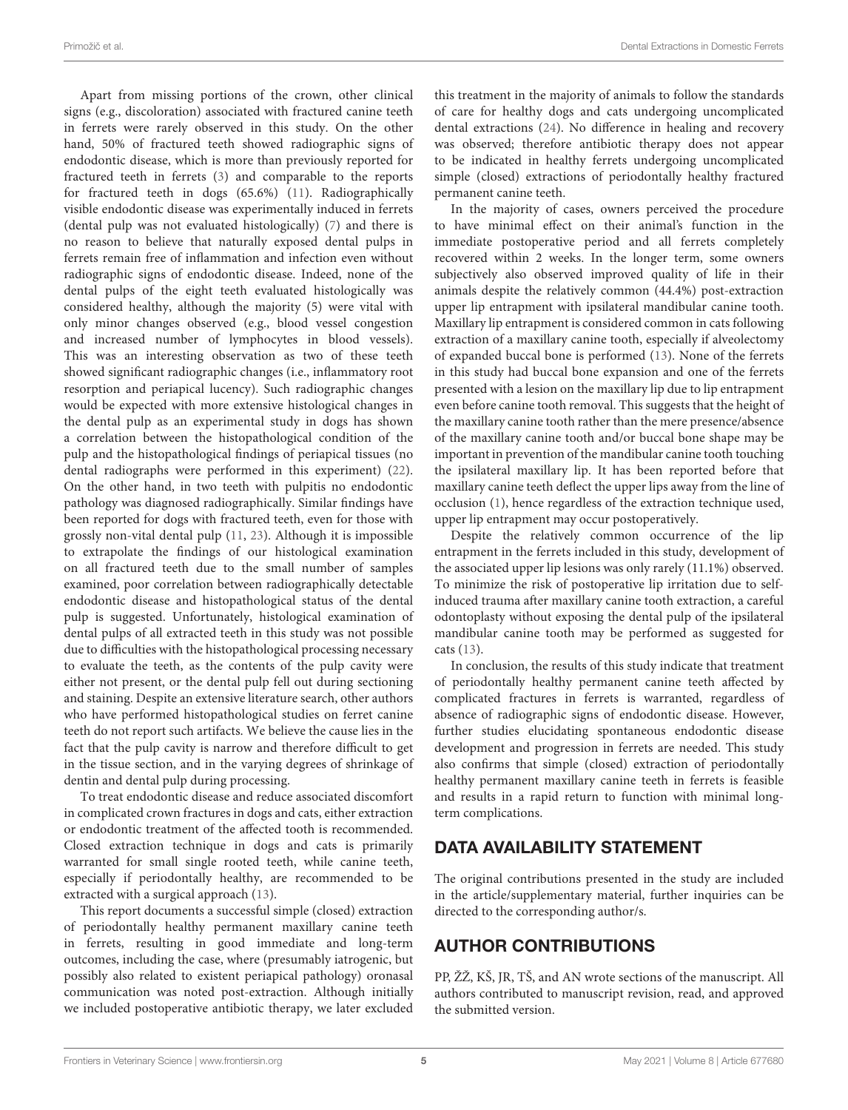Apart from missing portions of the crown, other clinical signs (e.g., discoloration) associated with fractured canine teeth in ferrets were rarely observed in this study. On the other hand, 50% of fractured teeth showed radiographic signs of endodontic disease, which is more than previously reported for fractured teeth in ferrets [\(3\)](#page-5-2) and comparable to the reports for fractured teeth in dogs (65.6%) [\(11\)](#page-5-9). Radiographically visible endodontic disease was experimentally induced in ferrets (dental pulp was not evaluated histologically) [\(7\)](#page-5-6) and there is no reason to believe that naturally exposed dental pulps in ferrets remain free of inflammation and infection even without radiographic signs of endodontic disease. Indeed, none of the dental pulps of the eight teeth evaluated histologically was considered healthy, although the majority (5) were vital with only minor changes observed (e.g., blood vessel congestion and increased number of lymphocytes in blood vessels). This was an interesting observation as two of these teeth showed significant radiographic changes (i.e., inflammatory root resorption and periapical lucency). Such radiographic changes would be expected with more extensive histological changes in the dental pulp as an experimental study in dogs has shown a correlation between the histopathological condition of the pulp and the histopathological findings of periapical tissues (no dental radiographs were performed in this experiment) [\(22\)](#page-5-20). On the other hand, in two teeth with pulpitis no endodontic pathology was diagnosed radiographically. Similar findings have been reported for dogs with fractured teeth, even for those with grossly non-vital dental pulp [\(11,](#page-5-9) [23\)](#page-5-21). Although it is impossible to extrapolate the findings of our histological examination on all fractured teeth due to the small number of samples examined, poor correlation between radiographically detectable endodontic disease and histopathological status of the dental pulp is suggested. Unfortunately, histological examination of dental pulps of all extracted teeth in this study was not possible due to difficulties with the histopathological processing necessary to evaluate the teeth, as the contents of the pulp cavity were either not present, or the dental pulp fell out during sectioning and staining. Despite an extensive literature search, other authors who have performed histopathological studies on ferret canine teeth do not report such artifacts. We believe the cause lies in the fact that the pulp cavity is narrow and therefore difficult to get in the tissue section, and in the varying degrees of shrinkage of dentin and dental pulp during processing.

To treat endodontic disease and reduce associated discomfort in complicated crown fractures in dogs and cats, either extraction or endodontic treatment of the affected tooth is recommended. Closed extraction technique in dogs and cats is primarily warranted for small single rooted teeth, while canine teeth, especially if periodontally healthy, are recommended to be extracted with a surgical approach [\(13\)](#page-5-11).

This report documents a successful simple (closed) extraction of periodontally healthy permanent maxillary canine teeth in ferrets, resulting in good immediate and long-term outcomes, including the case, where (presumably iatrogenic, but possibly also related to existent periapical pathology) oronasal communication was noted post-extraction. Although initially we included postoperative antibiotic therapy, we later excluded this treatment in the majority of animals to follow the standards of care for healthy dogs and cats undergoing uncomplicated dental extractions [\(24\)](#page-5-22). No difference in healing and recovery was observed; therefore antibiotic therapy does not appear to be indicated in healthy ferrets undergoing uncomplicated simple (closed) extractions of periodontally healthy fractured permanent canine teeth.

In the majority of cases, owners perceived the procedure to have minimal effect on their animal's function in the immediate postoperative period and all ferrets completely recovered within 2 weeks. In the longer term, some owners subjectively also observed improved quality of life in their animals despite the relatively common (44.4%) post-extraction upper lip entrapment with ipsilateral mandibular canine tooth. Maxillary lip entrapment is considered common in cats following extraction of a maxillary canine tooth, especially if alveolectomy of expanded buccal bone is performed [\(13\)](#page-5-11). None of the ferrets in this study had buccal bone expansion and one of the ferrets presented with a lesion on the maxillary lip due to lip entrapment even before canine tooth removal. This suggests that the height of the maxillary canine tooth rather than the mere presence/absence of the maxillary canine tooth and/or buccal bone shape may be important in prevention of the mandibular canine tooth touching the ipsilateral maxillary lip. It has been reported before that maxillary canine teeth deflect the upper lips away from the line of occlusion [\(1\)](#page-5-0), hence regardless of the extraction technique used, upper lip entrapment may occur postoperatively.

Despite the relatively common occurrence of the lip entrapment in the ferrets included in this study, development of the associated upper lip lesions was only rarely (11.1%) observed. To minimize the risk of postoperative lip irritation due to selfinduced trauma after maxillary canine tooth extraction, a careful odontoplasty without exposing the dental pulp of the ipsilateral mandibular canine tooth may be performed as suggested for cats [\(13\)](#page-5-11).

In conclusion, the results of this study indicate that treatment of periodontally healthy permanent canine teeth affected by complicated fractures in ferrets is warranted, regardless of absence of radiographic signs of endodontic disease. However, further studies elucidating spontaneous endodontic disease development and progression in ferrets are needed. This study also confirms that simple (closed) extraction of periodontally healthy permanent maxillary canine teeth in ferrets is feasible and results in a rapid return to function with minimal longterm complications.

# DATA AVAILABILITY STATEMENT

The original contributions presented in the study are included in the article/supplementary material, further inquiries can be directed to the corresponding author/s.

# AUTHOR CONTRIBUTIONS

PP, ŽŽ, KŠ, JR, TŠ, and AN wrote sections of the manuscript. All authors contributed to manuscript revision, read, and approved the submitted version.